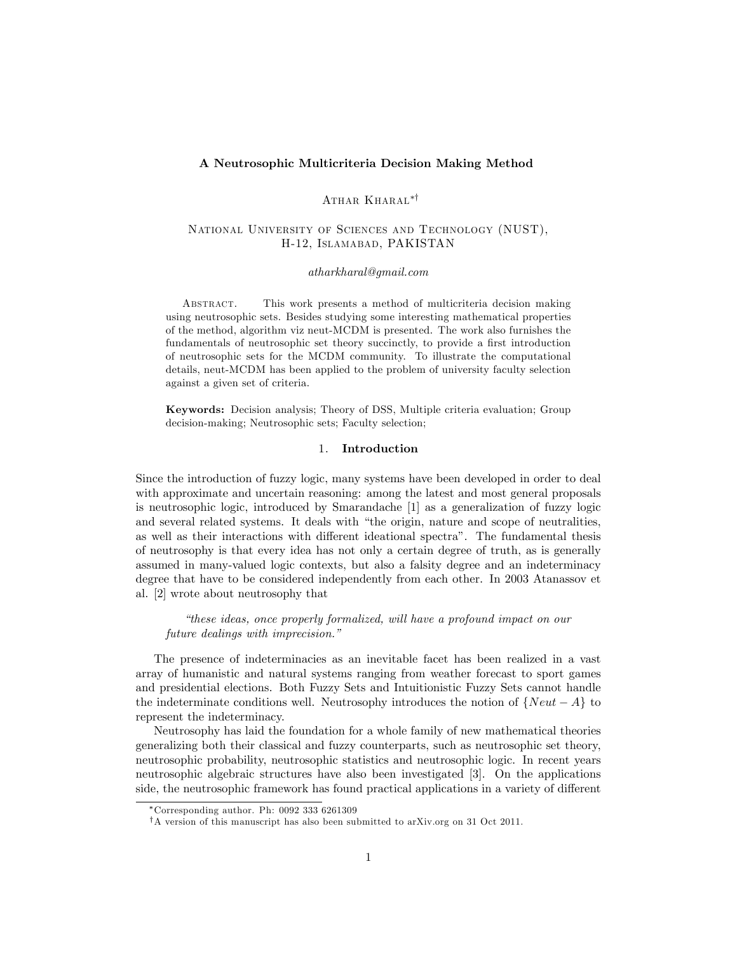### A Neutrosophic Multicriteria Decision Making Method

# ATHAR KHARAL\*<sup>†</sup>

## National University of Sciences and Technology (NUST), H-12, Islamabad, PAKISTAN

#### atharkharal@gmail.com

Abstract. This work presents a method of multicriteria decision making using neutrosophic sets. Besides studying some interesting mathematical properties of the method, algorithm viz neut-MCDM is presented. The work also furnishes the fundamentals of neutrosophic set theory succinctly, to provide a first introduction of neutrosophic sets for the MCDM community. To illustrate the computational details, neut-MCDM has been applied to the problem of university faculty selection against a given set of criteria.

Keywords: Decision analysis; Theory of DSS, Multiple criteria evaluation; Group decision-making; Neutrosophic sets; Faculty selection;

## 1. Introduction

Since the introduction of fuzzy logic, many systems have been developed in order to deal with approximate and uncertain reasoning: among the latest and most general proposals is neutrosophic logic, introduced by Smarandache [1] as a generalization of fuzzy logic and several related systems. It deals with "the origin, nature and scope of neutralities, as well as their interactions with different ideational spectra". The fundamental thesis of neutrosophy is that every idea has not only a certain degree of truth, as is generally assumed in many-valued logic contexts, but also a falsity degree and an indeterminacy degree that have to be considered independently from each other. In 2003 Atanassov et al. [2] wrote about neutrosophy that

ìthese ideas, once properly formalized, will have a profound impact on our future dealings with imprecision."

The presence of indeterminacies as an inevitable facet has been realized in a vast array of humanistic and natural systems ranging from weather forecast to sport games and presidential elections. Both Fuzzy Sets and Intuitionistic Fuzzy Sets cannot handle the indeterminate conditions well. Neutrosophy introduces the notion of  $\{Neut - A\}$  to represent the indeterminacy.

Neutrosophy has laid the foundation for a whole family of new mathematical theories generalizing both their classical and fuzzy counterparts, such as neutrosophic set theory, neutrosophic probability, neutrosophic statistics and neutrosophic logic. In recent years neutrosophic algebraic structures have also been investigated [3]. On the applications side, the neutrosophic framework has found practical applications in a variety of different

Corresponding author. Ph: 0092 333 6261309

<sup>&</sup>lt;sup>†</sup>A version of this manuscript has also been submitted to arXiv.org on 31 Oct 2011.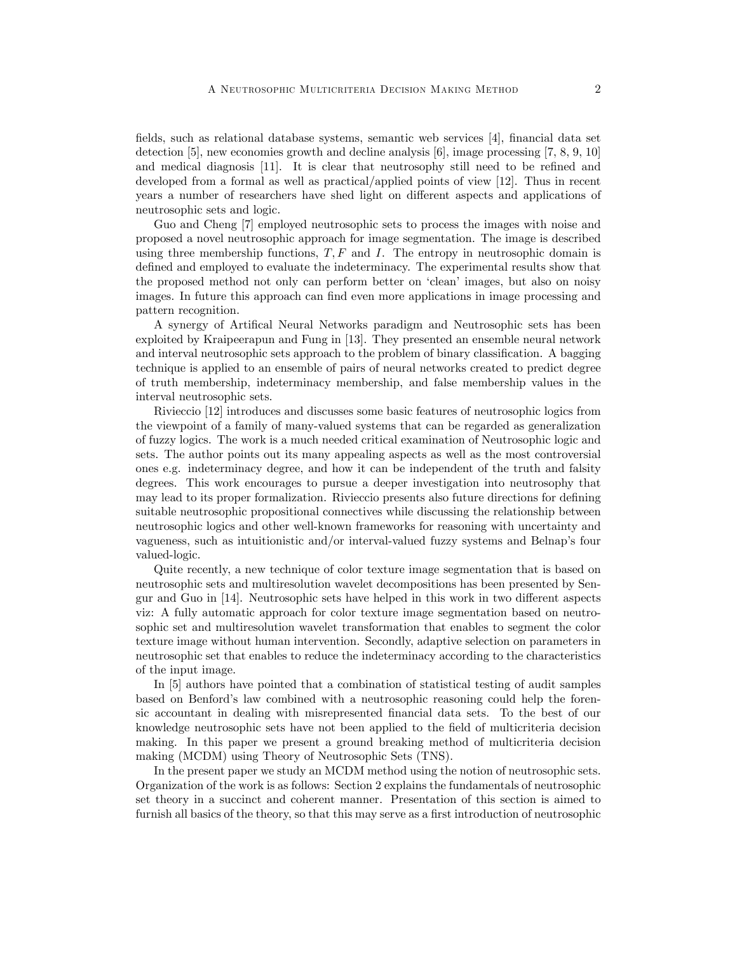Öelds, such as relational database systems, semantic web services [4], Önancial data set detection [5], new economies growth and decline analysis [6], image processing [7, 8, 9, 10] and medical diagnosis [11]. It is clear that neutrosophy still need to be refined and developed from a formal as well as practical/applied points of view [12]. Thus in recent years a number of researchers have shed light on different aspects and applications of neutrosophic sets and logic.

Guo and Cheng [7] employed neutrosophic sets to process the images with noise and proposed a novel neutrosophic approach for image segmentation. The image is described using three membership functions,  $T, F$  and  $I$ . The entropy in neutrosophic domain is defined and employed to evaluate the indeterminacy. The experimental results show that the proposed method not only can perform better on 'clean' images, but also on noisy images. In future this approach can find even more applications in image processing and pattern recognition.

A synergy of Artifical Neural Networks paradigm and Neutrosophic sets has been exploited by Kraipeerapun and Fung in [13]. They presented an ensemble neural network and interval neutrosophic sets approach to the problem of binary classification. A bagging technique is applied to an ensemble of pairs of neural networks created to predict degree of truth membership, indeterminacy membership, and false membership values in the interval neutrosophic sets.

Rivieccio [12] introduces and discusses some basic features of neutrosophic logics from the viewpoint of a family of many-valued systems that can be regarded as generalization of fuzzy logics. The work is a much needed critical examination of Neutrosophic logic and sets. The author points out its many appealing aspects as well as the most controversial ones e.g. indeterminacy degree, and how it can be independent of the truth and falsity degrees. This work encourages to pursue a deeper investigation into neutrosophy that may lead to its proper formalization. Rivieccio presents also future directions for defining suitable neutrosophic propositional connectives while discussing the relationship between neutrosophic logics and other well-known frameworks for reasoning with uncertainty and vagueness, such as intuitionistic and/or interval-valued fuzzy systems and Belnapís four valued-logic.

Quite recently, a new technique of color texture image segmentation that is based on neutrosophic sets and multiresolution wavelet decompositions has been presented by Sengur and Guo in [14]. Neutrosophic sets have helped in this work in two different aspects viz: A fully automatic approach for color texture image segmentation based on neutrosophic set and multiresolution wavelet transformation that enables to segment the color texture image without human intervention. Secondly, adaptive selection on parameters in neutrosophic set that enables to reduce the indeterminacy according to the characteristics of the input image.

In [5] authors have pointed that a combination of statistical testing of audit samples based on Benfordís law combined with a neutrosophic reasoning could help the forensic accountant in dealing with misrepresented financial data sets. To the best of our knowledge neutrosophic sets have not been applied to the field of multicriteria decision making. In this paper we present a ground breaking method of multicriteria decision making (MCDM) using Theory of Neutrosophic Sets (TNS).

In the present paper we study an MCDM method using the notion of neutrosophic sets. Organization of the work is as follows: Section 2 explains the fundamentals of neutrosophic set theory in a succinct and coherent manner. Presentation of this section is aimed to furnish all basics of the theory, so that this may serve as a first introduction of neutrosophic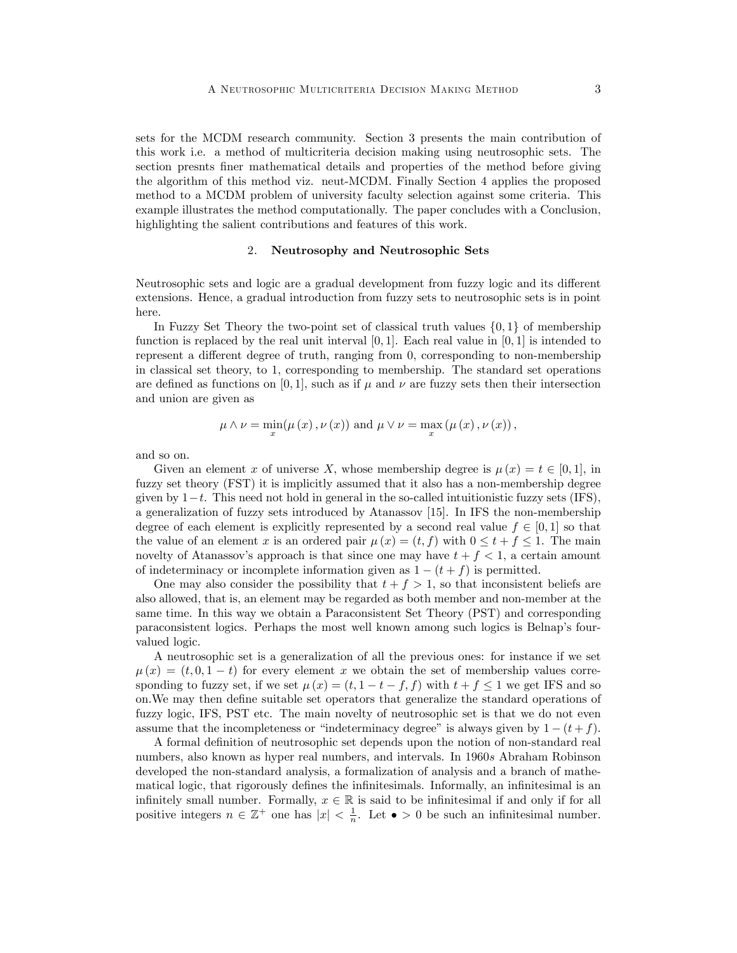sets for the MCDM research community. Section 3 presents the main contribution of this work i.e. a method of multicriteria decision making using neutrosophic sets. The section presnts Öner mathematical details and properties of the method before giving the algorithm of this method viz. neut-MCDM. Finally Section 4 applies the proposed method to a MCDM problem of university faculty selection against some criteria. This example illustrates the method computationally. The paper concludes with a Conclusion, highlighting the salient contributions and features of this work.

### 2. Neutrosophy and Neutrosophic Sets

Neutrosophic sets and logic are a gradual development from fuzzy logic and its different extensions. Hence, a gradual introduction from fuzzy sets to neutrosophic sets is in point here.

In Fuzzy Set Theory the two-point set of classical truth values  $\{0,1\}$  of membership function is replaced by the real unit interval  $[0, 1]$ . Each real value in  $[0, 1]$  is intended to represent a different degree of truth, ranging from 0, corresponding to non-membership in classical set theory, to 1, corresponding to membership. The standard set operations are defined as functions on [0, 1], such as if  $\mu$  and  $\nu$  are fuzzy sets then their intersection and union are given as

$$
\mu \wedge \nu = \min_{x} (\mu(x), \nu(x))
$$
 and  $\mu \vee \nu = \max_{x} (\mu(x), \nu(x)),$ 

and so on.

Given an element x of universe X, whose membership degree is  $\mu(x) = t \in [0, 1]$ , in fuzzy set theory (FST) it is implicitly assumed that it also has a non-membership degree given by  $1-t$ . This need not hold in general in the so-called intuitionistic fuzzy sets (IFS), a generalization of fuzzy sets introduced by Atanassov [15]. In IFS the non-membership degree of each element is explicitly represented by a second real value  $f \in [0, 1]$  so that the value of an element x is an ordered pair  $\mu(x) = (t, f)$  with  $0 \le t + f \le 1$ . The main novelty of Atanassov's approach is that since one may have  $t + f < 1$ , a certain amount of indeterminacy or incomplete information given as  $1 - (t + f)$  is permitted.

One may also consider the possibility that  $t + f > 1$ , so that inconsistent beliefs are also allowed, that is, an element may be regarded as both member and non-member at the same time. In this way we obtain a Paraconsistent Set Theory (PST) and corresponding paraconsistent logics. Perhaps the most well known among such logics is Belnapís fourvalued logic.

A neutrosophic set is a generalization of all the previous ones: for instance if we set  $\mu(x) = (t, 0, 1 - t)$  for every element x we obtain the set of membership values corresponding to fuzzy set, if we set  $\mu(x) = (t, 1 - t - f, f)$  with  $t + f \leq 1$  we get IFS and so on.We may then deÖne suitable set operators that generalize the standard operations of fuzzy logic, IFS, PST etc. The main novelty of neutrosophic set is that we do not even assume that the incompleteness or "indeterminacy degree" is always given by  $1 - (t + f)$ .

A formal definition of neutrosophic set depends upon the notion of non-standard real numbers, also known as hyper real numbers, and intervals. In 1960s Abraham Robinson developed the non-standard analysis, a formalization of analysis and a branch of mathematical logic, that rigorously defines the infinitesimals. Informally, an infinitesimal is an infinitely small number. Formally,  $x \in \mathbb{R}$  is said to be infinitesimal if and only if for all positive integers  $n \in \mathbb{Z}^+$  one has  $|x| < \frac{1}{n}$ . Let  $\bullet > 0$  be such an infinitesimal number.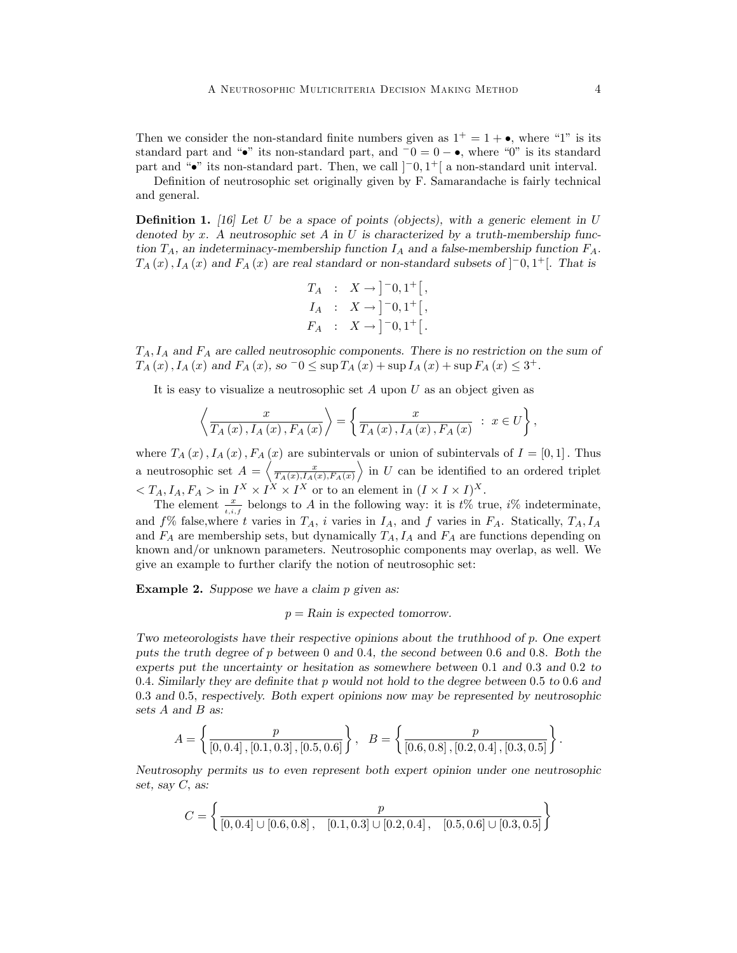Then we consider the non-standard finite numbers given as  $1^+ = 1 + \bullet$ , where "1" is its standard part and " $\bullet$ " its non-standard part, and  $\overline{0} = 0 - \bullet$ , where "0" is its standard part and " $\bullet$ " its non-standard part. Then, we call  $]-0,1^+[$  a non-standard unit interval.

Definition of neutrosophic set originally given by F. Samarandache is fairly technical and general.

**Definition 1.** [16] Let U be a space of points (objects), with a generic element in U denoted by x. A neutrosophic set A in U is characterized by a truth-membership function  $T_A$ , an indeterminacy-membership function  $I_A$  and a false-membership function  $F_A$ .  $T_A(x)$ ,  $I_A(x)$  and  $F_A(x)$  are real standard or non-standard subsets of  $]$ <sup>-0</sup>, 1<sup>+</sup>[. That is

$$
T_A : X \to ]-0,1^+[,
$$
  
\n
$$
I_A : X \to ]-0,1^+[,
$$
  
\n
$$
F_A : X \to ]-0,1^+[.
$$

 $T_A$ ,  $I_A$  and  $F_A$  are called neutrosophic components. There is no restriction on the sum of  $T_A(x)$ ,  $I_A(x)$  and  $F_A(x)$ , so  $-0 \le \sup T_A(x) + \sup I_A(x) + \sup F_A(x) \le 3^+$ .

It is easy to visualize a neutrosophic set  $A$  upon  $U$  as an object given as

$$
\left\langle \frac{x}{T_A(x), I_A(x), F_A(x)} \right\rangle = \left\{ \frac{x}{T_A(x), I_A(x), F_A(x)} : x \in U \right\},\
$$

where  $T_A(x)$ ,  $I_A(x)$ ,  $F_A(x)$  are subintervals or union of subintervals of  $I = [0, 1]$ . Thus a neutrosophic set  $A = \left\langle \frac{x}{T_A(x), I_A(x), F_A(x)} \right\rangle$  $\rangle$  in U can be identified to an ordered triplet  $\langle T_A, I_A, F_A \rangle$  in  $I^X \times I^X \times I^X$  or to an element in  $(I \times I \times I)^X$ .

The element  $\frac{x}{t,i,f}$  belongs to A in the following way: it is  $t\%$  true,  $i\%$  indeterminate, and  $f\%$  false, where t varies in  $T_A$ , i varies in  $I_A$ , and f varies in  $F_A$ . Statically,  $T_A$ ,  $I_A$ and  $F_A$  are membership sets, but dynamically  $T_A$ ,  $I_A$  and  $F_A$  are functions depending on known and/or unknown parameters. Neutrosophic components may overlap, as well. We give an example to further clarify the notion of neutrosophic set:

Example 2. Suppose we have a claim p given as:

 $p =$ Rain is expected tomorrow.

Two meteorologists have their respective opinions about the truthhood of p: One expert puts the truth degree of p between 0 and 0:4, the second between 0:6 and 0:8. Both the experts put the uncertainty or hesitation as somewhere between 0:1 and 0:3 and 0:2 to 0.4. Similarly they are definite that p would not hold to the degree between 0.5 to 0.6 and 0.3 and 0.5, respectively. Both expert opinions now may be represented by neutrosophic sets A and B as:

$$
A = \left\{ \frac{p}{\left[0, 0.4\right], \left[0.1, 0.3\right], \left[0.5, 0.6\right]} \right\}, \quad B = \left\{ \frac{p}{\left[0.6, 0.8\right], \left[0.2, 0.4\right], \left[0.3, 0.5\right]} \right\}.
$$

Neutrosophy permits us to even represent both expert opinion under one neutrosophic set, say  $C$ , as:

$$
C = \left\{ \frac{p}{[0, 0.4] \cup [0.6, 0.8], [0.1, 0.3] \cup [0.2, 0.4], [0.5, 0.6] \cup [0.3, 0.5]} \right\}
$$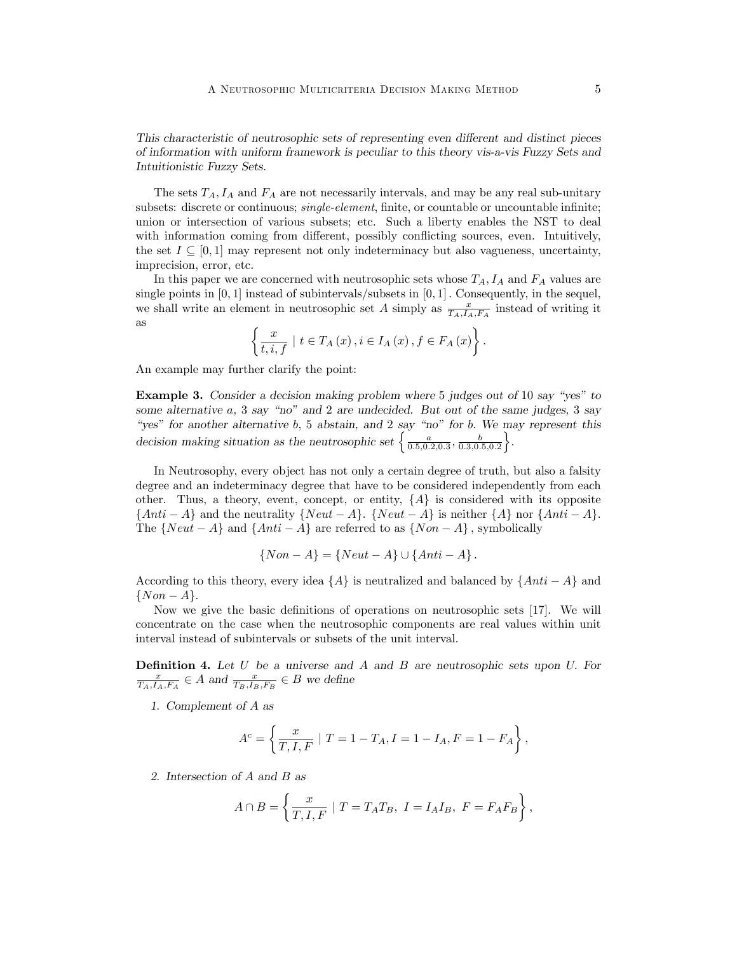This characteristic of neutrosophic sets of representing even different and distinct pieces of information with uniform framework is peculiar to this theory vis-a-vis Fuzzy Sets and Intuitionistic Fuzzy Sets.

The sets  $T_A$ ,  $I_A$  and  $F_A$  are not necessarily intervals, and may be any real sub-unitary subsets: discrete or continuous; *single-element*, finite, or countable or uncountable infinite; union or intersection of various subsets; etc. Such a liberty enables the NST to deal with information coming from different, possibly conflicting sources, even. Intuitively, the set  $I \subseteq [0, 1]$  may represent not only indeterminacy but also vagueness, uncertainty, imprecision, error, etc.

In this paper we are concerned with neutrosophic sets whose  $T_A$ ,  $I_A$  and  $F_A$  values are single points in  $[0, 1]$  instead of subintervals/subsets in  $[0, 1]$ . Consequently, in the sequel, we shall write an element in neutrosophic set A simply as  $\frac{x}{T_A,I_A,F_A}$  instead of writing it as

$$
\left\{\frac{x}{t, i, f} \mid t \in T_A(x), i \in I_A(x), f \in F_A(x)\right\}.
$$

An example may further clarify the point:

**Example 3.** Consider a decision making problem where 5 judges out of 10 say "yes" to some alternative  $a$ ,  $3$  say "no" and  $2$  are undecided. But out of the same judges,  $3$  say "yes" for another alternative b, 5 abstain, and 2 say "no" for b. We may represent this decision making situation as the neutrosophic set  $\begin{cases} \frac{a}{0.5,0.2,0.3}, \frac{b}{0.3,0.5,0.2} \end{cases}$  $\big\}$ .

In Neutrosophy, every object has not only a certain degree of truth, but also a falsity degree and an indeterminacy degree that have to be considered independently from each other. Thus, a theory, event, concept, or entity,  $\{A\}$  is considered with its opposite  $\{Anti-A\}$  and the neutrality  $\{Neut-A\}$ .  $\{Neut-A\}$  is neither  $\{A\}$  nor  $\{Anti-A\}$ . The  $\{Neut - A\}$  and  $\{Anti - A\}$  are referred to as  $\{Non - A\}$ , symbolically

$$
{\{Non-A\}}={\{Neut-A\}}\cup{\{Anti-A\}}.
$$

According to this theory, every idea  $\{A\}$  is neutralized and balanced by  $\{Anti-A\}$  and  $\{Non-A\}.$ 

Now we give the basic definitions of operations on neutrosophic sets  $[17]$ . We will concentrate on the case when the neutrosophic components are real values within unit interval instead of subintervals or subsets of the unit interval.

**Definition 4.** Let  $U$  be a universe and  $A$  and  $B$  are neutrosophic sets upon  $U$ . For  $\frac{x}{T_A,I_A,F_A} \in A$  and  $\frac{x}{T_B,I_B,F_B} \in B$  we define

1. Complement of A as

$$
A^c = \left\{ \frac{x}{T, I, F} \ | \ T = 1 - T_A, I = 1 - I_A, F = 1 - F_A \right\},\,
$$

2. Intersection of A and B as

$$
A \cap B = \left\{ \frac{x}{T, I, F} \mid T = T_A T_B, I = I_A I_B, F = F_A F_B \right\},\
$$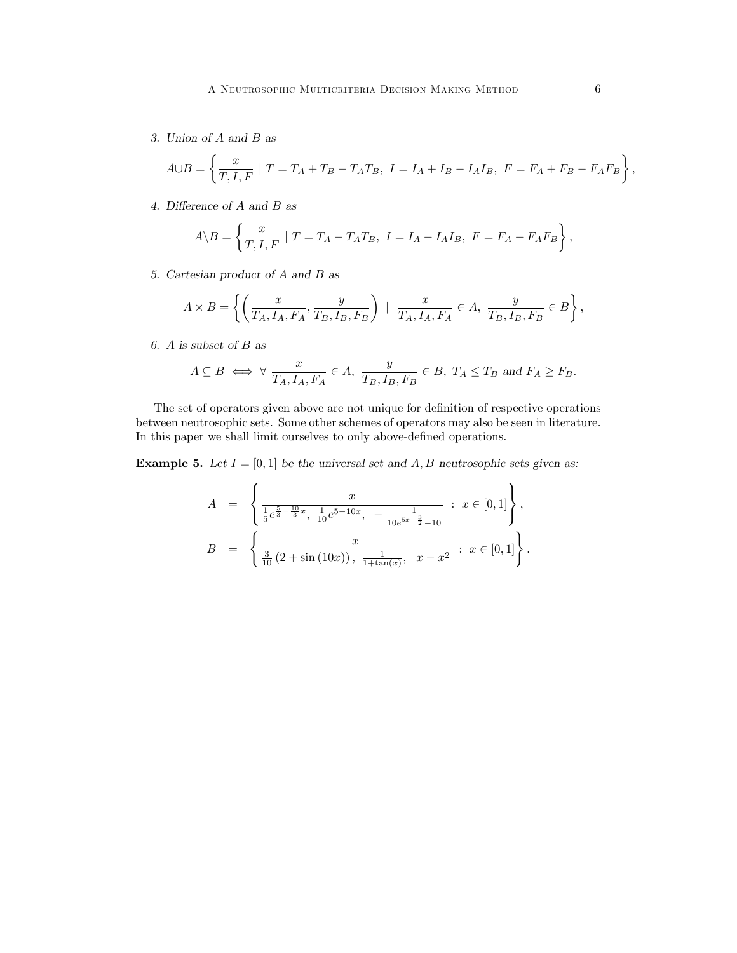3. Union of A and B as

$$
A \cup B = \left\{ \frac{x}{T, I, F} \mid T = T_A + T_B - T_A T_B, \ I = I_A + I_B - I_A I_B, \ F = F_A + F_B - F_A F_B \right\},\
$$

4. Difference of  $A$  and  $B$  as

$$
A \backslash B = \left\{ \frac{x}{T, I, F} \mid T = T_A - T_A T_B, I = I_A - I_A I_B, F = F_A - F_A F_B \right\},\,
$$

5. Cartesian product of A and B as

$$
A \times B = \left\{ \left( \frac{x}{T_A, I_A, F_A}, \frac{y}{T_B, I_B, F_B} \right) \mid \frac{x}{T_A, I_A, F_A} \in A, \frac{y}{T_B, I_B, F_B} \in B \right\},\
$$

6. A is subset of B as

$$
A \subseteq B \iff \forall \frac{x}{T_A, I_A, F_A} \in A, \frac{y}{T_B, I_B, F_B} \in B, T_A \le T_B \text{ and } F_A \ge F_B.
$$

The set of operators given above are not unique for definition of respective operations between neutrosophic sets. Some other schemes of operators may also be seen in literature. In this paper we shall limit ourselves to only above-defined operations.

**Example 5.** Let  $I = [0, 1]$  be the universal set and A, B neutrosophic sets given as:

$$
A = \begin{cases} \frac{x}{\frac{1}{5}e^{\frac{5}{3}-\frac{10}{3}x}, \frac{1}{10}e^{5-10x}, -\frac{1}{10e^{5x-\frac{3}{2}}-10}} : x \in [0,1] \\ B = \frac{x}{\frac{3}{10}(2+\sin(10x)), \frac{1}{1+\tan(x)}, x-x^2} : x \in [0,1] \end{cases},
$$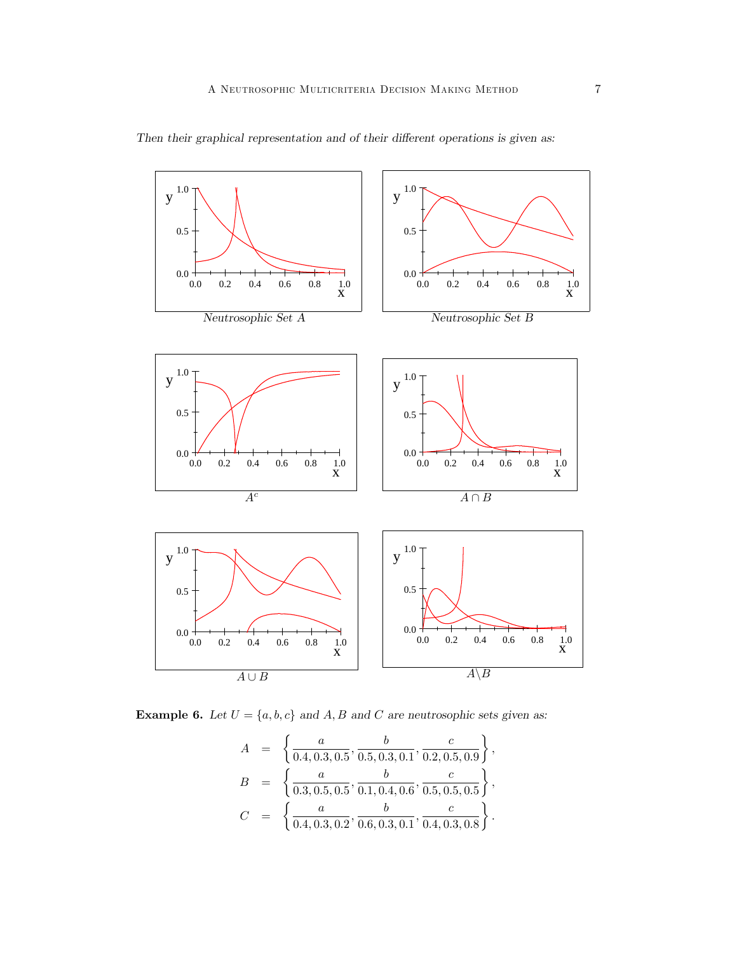

Then their graphical representation and of their different operations is given as:

**Example 6.** Let  $U = \{a, b, c\}$  and  $A, B$  and  $C$  are neutrosophic sets given as:

$$
A = \left\{ \frac{a}{0.4, 0.3, 0.5}, \frac{b}{0.5, 0.3, 0.1}, \frac{c}{0.2, 0.5, 0.9} \right\},
$$
  
\n
$$
B = \left\{ \frac{a}{0.3, 0.5, 0.5}, \frac{b}{0.1, 0.4, 0.6}, \frac{c}{0.5, 0.5, 0.5} \right\},
$$
  
\n
$$
C = \left\{ \frac{a}{0.4, 0.3, 0.2}, \frac{b}{0.6, 0.3, 0.1}, \frac{c}{0.4, 0.3, 0.8} \right\}.
$$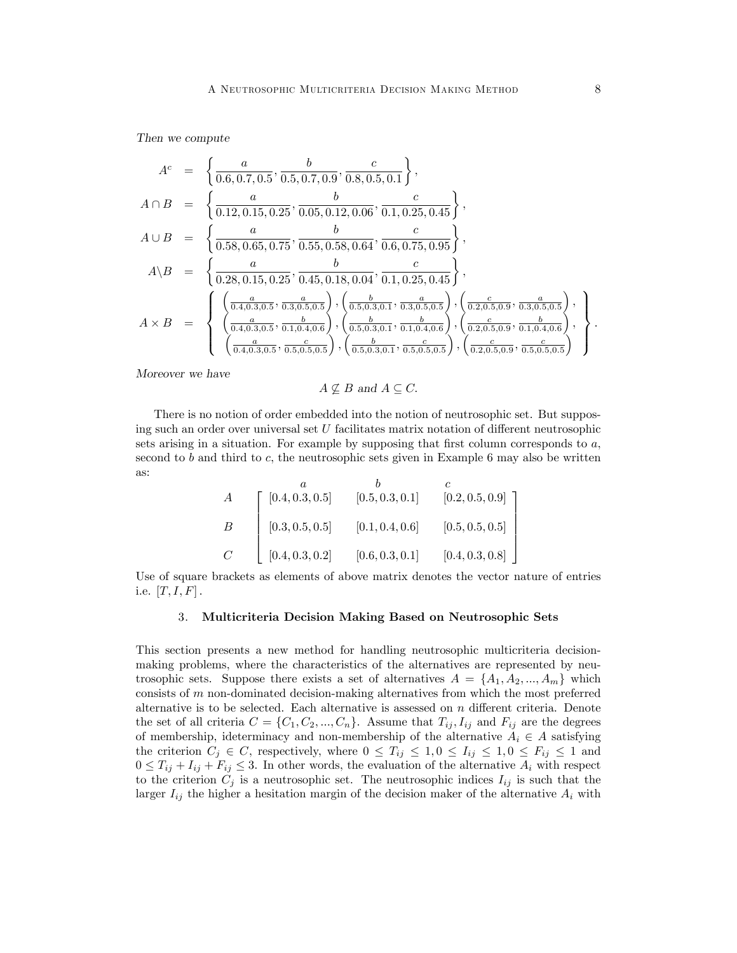Then we compute

$$
A^{c} = \left\{ \frac{a}{0.6, 0.7, 0.5}, \frac{b}{0.5, 0.7, 0.9}, \frac{c}{0.8, 0.5, 0.1} \right\},
$$
  
\n
$$
A \cap B = \left\{ \frac{a}{0.12, 0.15, 0.25}, \frac{b}{0.05, 0.12, 0.06}, \frac{c}{0.1, 0.25, 0.45} \right\},
$$
  
\n
$$
A \cup B = \left\{ \frac{a}{0.58, 0.65, 0.75}, \frac{b}{0.55, 0.58, 0.64}, \frac{c}{0.6, 0.75, 0.95} \right\},
$$
  
\n
$$
A \setminus B = \left\{ \frac{a}{0.28, 0.15, 0.25}, \frac{b}{0.45, 0.18, 0.04}, \frac{c}{0.1, 0.25, 0.45} \right\},
$$
  
\n
$$
A \times B = \left\{ \frac{\left(\frac{a}{0.4, 0.3, 0.5}, \frac{a}{0.3, 0.5, 0.5}\right), \left(\frac{b}{0.5, 0.3, 0.1}, \frac{a}{0.3, 0.5, 0.5}\right), \left(\frac{c}{0.2, 0.5, 0.9}, \frac{b}{0.3, 0.5, 0.5}\right), \left(\frac{c}{0.2, 0.5, 0.9}, \frac{b}{0.3, 0.5, 0.5}\right), \left(\frac{c}{0.2, 0.5, 0.9}, \frac{b}{0.1, 0.4, 0.6}\right), \left(\frac{c}{0.2, 0.5, 0.9}, \frac{b}{0.1, 0.4, 0.6}\right), \left(\frac{c}{0.2, 0.5, 0.9}, \frac{b}{0.1, 0.4, 0.6}\right), \left(\frac{c}{0.2, 0.5, 0.9}, \frac{c}{0.1, 0.4, 0.6}\right), \left(\frac{c}{0.2, 0.5, 0.9}, \frac{c}{0.1, 0.4, 0.6}\right), \left(\frac{c}{0.2, 0.5,
$$

Moreover we have

 $A \nsubseteq B$  and  $A \subseteq C$ .

There is no notion of order embedded into the notion of neutrosophic set. But supposing such an order over universal set  $U$  facilitates matrix notation of different neutrosophic sets arising in a situation. For example by supposing that first column corresponds to  $a$ , second to b and third to c, the neutrosophic sets given in Example 6 may also be written as:

$$
A = \begin{bmatrix} a & b & c \\ [0.4, 0.3, 0.5] & [0.5, 0.3, 0.1] & [0.2, 0.5, 0.9] \\ [0.3, 0.5, 0.5] & [0.1, 0.4, 0.6] & [0.5, 0.5, 0.5] \\ [0.4, 0.3, 0.2] & [0.6, 0.3, 0.1] & [0.4, 0.3, 0.8] \end{bmatrix}
$$

Use of square brackets as elements of above matrix denotes the vector nature of entries i.e.  $[T, I, F]$ .

## 3. Multicriteria Decision Making Based on Neutrosophic Sets

This section presents a new method for handling neutrosophic multicriteria decisionmaking problems, where the characteristics of the alternatives are represented by neutrosophic sets. Suppose there exists a set of alternatives  $A = \{A_1, A_2, ..., A_m\}$  which consists of  $m$  non-dominated decision-making alternatives from which the most preferred alternative is to be selected. Each alternative is assessed on  $n$  different criteria. Denote the set of all criteria  $C = \{C_1, C_2, ..., C_n\}$ . Assume that  $T_{ij}, I_{ij}$  and  $F_{ij}$  are the degrees of membership, ideterminacy and non-membership of the alternative  $A_i \in A$  satisfying the criterion  $C_j \in C$ , respectively, where  $0 \leq T_{ij} \leq 1, 0 \leq I_{ij} \leq 1, 0 \leq F_{ij} \leq 1$  and  $0 \leq T_{ij} + I_{ij} + F_{ij} \leq 3$ . In other words, the evaluation of the alternative  $A_i$  with respect to the criterion  $C_j$  is a neutrosophic set. The neutrosophic indices  $I_{ij}$  is such that the larger  $I_{ij}$  the higher a hesitation margin of the decision maker of the alternative  $A_i$  with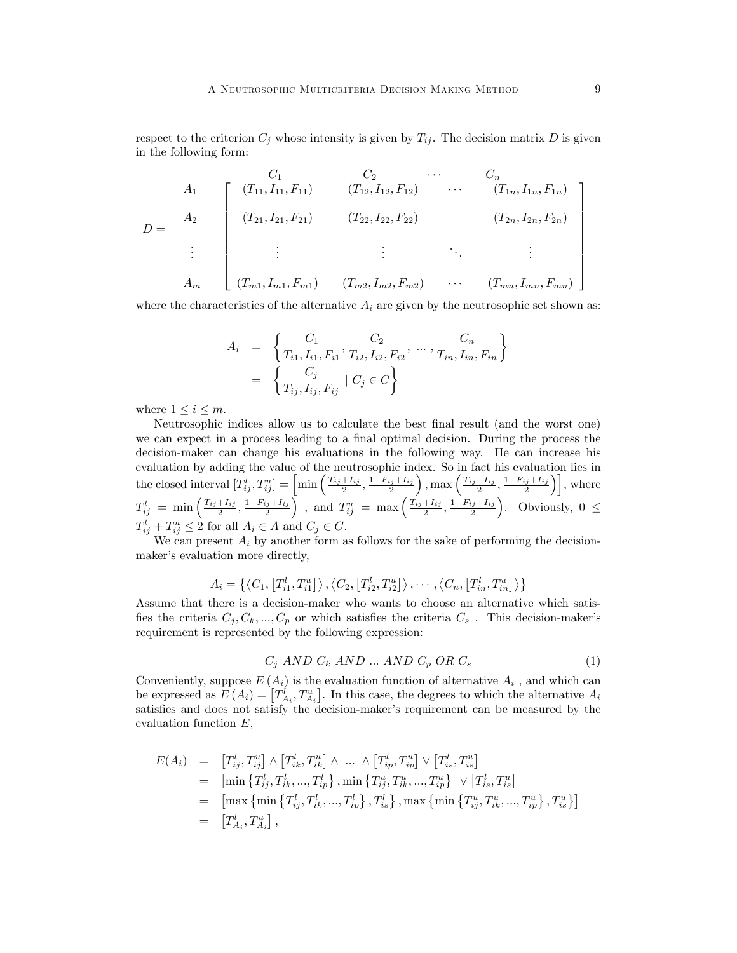respect to the criterion  $C_j$  whose intensity is given by  $T_{ij}$ . The decision matrix D is given in the following form:

$$
D = \begin{bmatrix} C_1 & C_2 & \cdots & C_n \\ A_1 & (T_{11}, I_{11}, F_{11}) & (T_{12}, I_{12}, F_{12}) & \cdots & (T_{1n}, I_{1n}, F_{1n}) \\ (T_{21}, I_{21}, F_{21}) & (T_{22}, I_{22}, F_{22}) & (T_{2n}, I_{2n}, F_{2n}) \\ \vdots & \vdots & \vdots & \ddots & \vdots \\ A_m & (T_{m1}, I_{m1}, F_{m1}) & (T_{m2}, I_{m2}, F_{m2}) & \cdots & (T_{mn}, I_{mn}, F_{mn}) \end{bmatrix}
$$

where the characteristics of the alternative  $A_i$  are given by the neutrosophic set shown as:

$$
A_i = \left\{ \frac{C_1}{T_{i1}, I_{i1}, F_{i1}}, \frac{C_2}{T_{i2}, I_{i2}, F_{i2}}, \dots, \frac{C_n}{T_{in}, I_{in}, F_{in}} \right\}
$$
  
= 
$$
\left\{ \frac{C_j}{T_{ij}, I_{ij}, F_{ij}} | C_j \in C \right\}
$$

where  $1 \leq i \leq m$ .

Neutrosophic indices allow us to calculate the best final result (and the worst one) we can expect in a process leading to a final optimal decision. During the process the decision-maker can change his evaluations in the following way. He can increase his evaluation by adding the value of the neutrosophic index. So in fact his evaluation lies in the closed interval  $[T_{ij}^l, T_{ij}^u] = \left[\min\left(\frac{T_{ij} + I_{ij}}{2}, \frac{1 - F_{ij} + I_{ij}}{2}\right)\right]$  $\left( \frac{T_{ij}+I_{ij}}{2}, \frac{1-F_{ij}+I_{ij}}{2} \right)$ , where  $T_{ij}^l = \min\left(\frac{T_{ij} + I_{ij}}{2}, \frac{1 - F_{ij} + I_{ij}}{2}\right)$ , and  $T_{ij}^u = \max\left(\frac{T_{ij} + I_{ij}}{2}, \frac{1 - F_{ij} + I_{ij}}{2}\right)$ ). Obviously,  $0 \leq$  $T_{ij}^l + T_{ij}^u \leq 2$  for all  $A_i \in A$  and  $C_j \in C$ .

We can present  $A_i$  by another form as follows for the sake of performing the decisionmaker's evaluation more directly,

$$
A_i = \left\{ \left\langle C_1, \left[ T_{i1}^l, T_{i1}^u \right] \right\rangle, \left\langle C_2, \left[ T_{i2}^l, T_{i2}^u \right] \right\rangle, \cdots, \left\langle C_n, \left[ T_{in}^l, T_{in}^u \right] \right\rangle \right\}
$$

Assume that there is a decision-maker who wants to choose an alternative which satisfies the criteria  $C_j, C_k, ..., C_p$  or which satisfies the criteria  $C_s$ . This decision-maker's requirement is represented by the following expression:

$$
C_j \ AND \ C_k \ AND \ ... \ AND \ C_p \ OR \ C_s \tag{1}
$$

Conveniently, suppose  $E(A_i)$  is the evaluation function of alternative  $A_i$ , and which can be expressed as  $E(A_i) = [T_{A_i}^i, T_{A_i}^u]$ . In this case, the degrees to which the alternative  $A_i$ satisfies and does not satisfy the decision-maker's requirement can be measured by the evaluation function E,

$$
E(A_i) = [T_{ij}^l, T_{ij}^u] \wedge [T_{ik}^l, T_{ik}^u] \wedge ... \wedge [T_{ip}^l, T_{ip}^u] \vee [T_{is}^l, T_{is}^u]
$$
  
\n
$$
= [\min \{T_{ij}^l, T_{ik}^l, ..., T_{ip}^l\}, \min \{T_{ij}^u, T_{ik}^u, ..., T_{ip}^u\}] \vee [T_{is}^l, T_{is}^u]
$$
  
\n
$$
= [\max \{\min \{T_{ij}^l, T_{ik}^l, ..., T_{ip}^l\}, T_{is}^l\}, \max \{\min \{T_{ij}^u, T_{ik}^u, ..., T_{ip}^u\}, T_{is}^u\}]
$$
  
\n
$$
= [T_{A_i}^l, T_{A_i}^u],
$$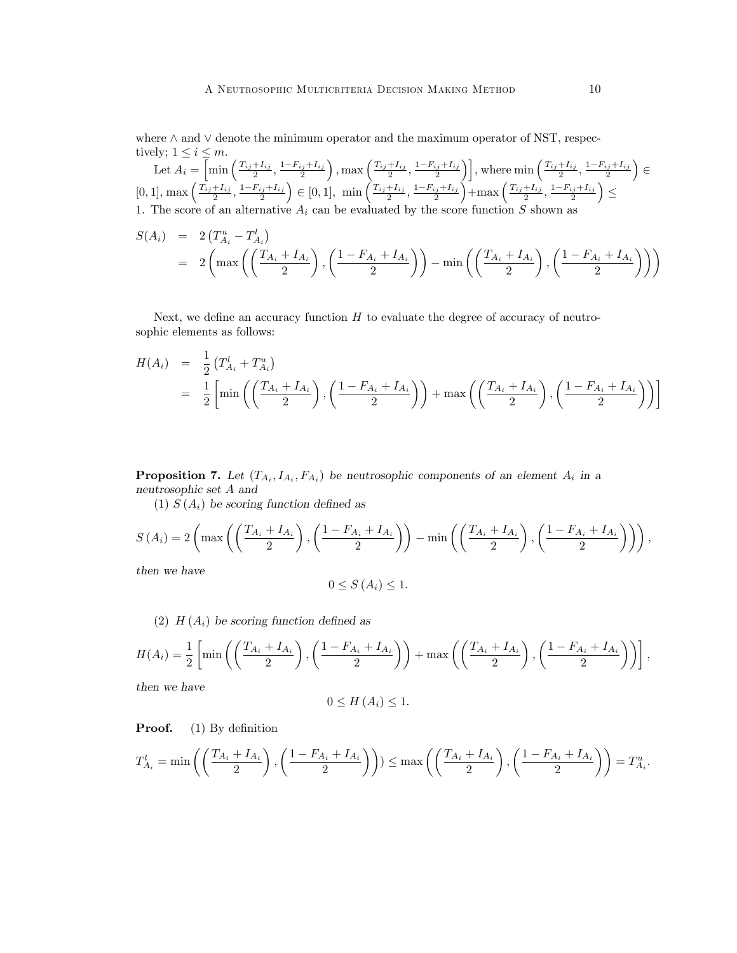where  $\wedge$  and  $\vee$  denote the minimum operator and the maximum operator of NST, respectively;  $1 \leq i \leq m$ .

Let  $A_i = \overline{\left[\min\left(\frac{T_{ij}+I_{ij}}{2},\frac{1-F_{ij}+I_{ij}}{2}\right)\right]}$  $\left( \frac{T_{ij}+I_{ij}}{2},\frac{1-F_{ij}+I_{ij}}{2}\right)$ , where  $\min\left( \frac{T_{ij}+I_{ij}}{2},\frac{1-F_{ij}+I_{ij}}{2}\right)$  $\overline{\phantom{0}}$  $\epsilon$  $[0, 1], \max\left(\frac{T_{ij}+I_{ij}}{2}, \frac{1-F_{ij}+I_{ij}}{2}\right)$  $\Big) \in [0, 1], \min\left(\frac{T_{ij} + I_{ij}}{2}, \frac{1 - F_{ij} + I_{ij}}{2}\right)$  $\int +\max\left(\frac{T_{ij}+I_{ij}}{2},\frac{1-F_{ij}+I_{ij}}{2}\right)$  $\overline{ }$  $\leq$ 1. The score of an alternative  $A_i$  can be evaluated by the score function S shown as

$$
S(A_i) = 2(T_{A_i}^u - T_{A_i}^l) = 2\left(\max\left(\left(\frac{T_{A_i} + I_{A_i}}{2}\right), \left(\frac{1 - F_{A_i} + I_{A_i}}{2}\right)\right) - \min\left(\left(\frac{T_{A_i} + I_{A_i}}{2}\right), \left(\frac{1 - F_{A_i} + I_{A_i}}{2}\right)\right)\right)
$$

Next, we define an accuracy function  $H$  to evaluate the degree of accuracy of neutrosophic elements as follows:

$$
H(A_i) = \frac{1}{2} (T_{A_i}^l + T_{A_i}^u)
$$
  
=  $\frac{1}{2} \left[ \min \left( \left( \frac{T_{A_i} + I_{A_i}}{2} \right), \left( \frac{1 - F_{A_i} + I_{A_i}}{2} \right) \right) + \max \left( \left( \frac{T_{A_i} + I_{A_i}}{2} \right), \left( \frac{1 - F_{A_i} + I_{A_i}}{2} \right) \right) \right]$ 

**Proposition 7.** Let  $(T_{A_i}, I_{A_i}, F_{A_i})$  be neutrosophic components of an element  $A_i$  in a neutrosophic set A and

(1)  $S(A_i)$  be scoring function defined as

$$
S(A_i) = 2\left(\max\left(\left(\frac{T_{A_i} + I_{A_i}}{2}\right), \left(\frac{1 - F_{A_i} + I_{A_i}}{2}\right)\right) - \min\left(\left(\frac{T_{A_i} + I_{A_i}}{2}\right), \left(\frac{1 - F_{A_i} + I_{A_i}}{2}\right)\right)\right),
$$

then we have

$$
0 \le S(A_i) \le 1.
$$

(2)  $H(A_i)$  be scoring function defined as

$$
H(A_i) = \frac{1}{2} \left[ \min \left( \left( \frac{T_{A_i} + I_{A_i}}{2} \right), \left( \frac{1 - F_{A_i} + I_{A_i}}{2} \right) \right) + \max \left( \left( \frac{T_{A_i} + I_{A_i}}{2} \right), \left( \frac{1 - F_{A_i} + I_{A_i}}{2} \right) \right) \right],
$$

then we have

$$
0 \le H(A_i) \le 1.
$$

**Proof.** (1) By definition

$$
T_{A_i}^l = \min\left( \left( \frac{T_{A_i} + I_{A_i}}{2} \right), \left( \frac{1 - F_{A_i} + I_{A_i}}{2} \right) \right) \le \max\left( \left( \frac{T_{A_i} + I_{A_i}}{2} \right), \left( \frac{1 - F_{A_i} + I_{A_i}}{2} \right) \right) = T_{A_i}^u.
$$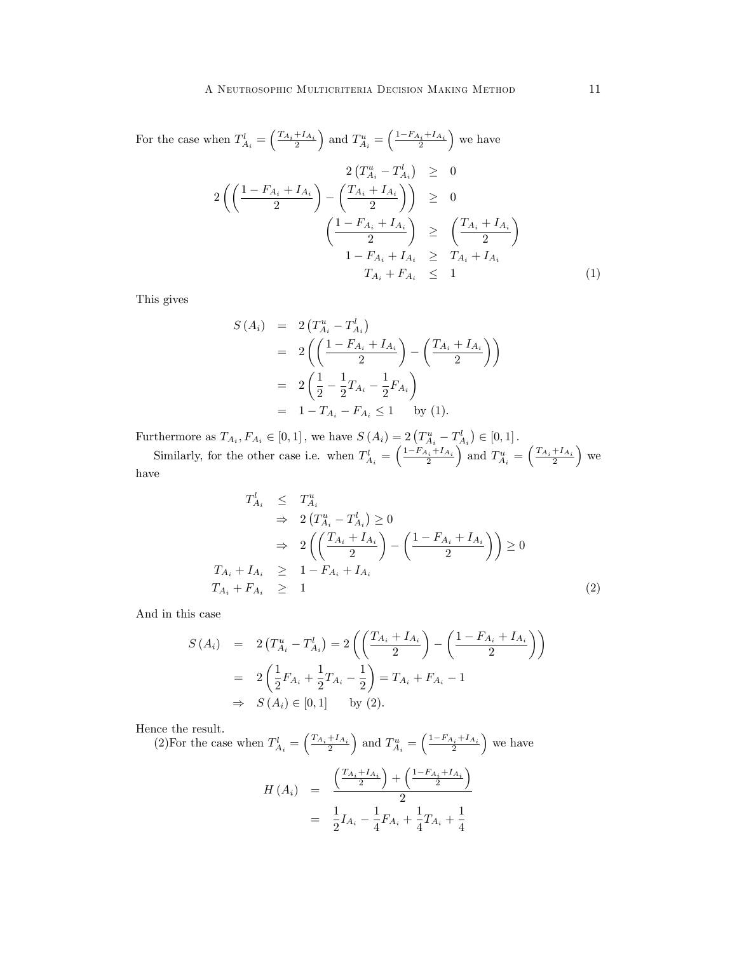For the case when 
$$
T_{A_i}^l = \left(\frac{T_{A_i} + I_{A_i}}{2}\right)
$$
 and  $T_{A_i}^u = \left(\frac{1 - F_{A_i} + I_{A_i}}{2}\right)$  we have  
\n
$$
2\left(T_{A_i}^u - T_{A_i}^l\right) \geq 0
$$
\n
$$
2\left(\left(\frac{1 - F_{A_i} + I_{A_i}}{2}\right) - \left(\frac{T_{A_i} + I_{A_i}}{2}\right)\right) \geq 0
$$
\n
$$
\left(\frac{1 - F_{A_i} + I_{A_i}}{2}\right) \geq \left(\frac{T_{A_i} + I_{A_i}}{2}\right)
$$
\n
$$
1 - F_{A_i} + I_{A_i} \geq T_{A_i} + I_{A_i}
$$
\n
$$
T_{A_i} + F_{A_i} \leq 1
$$
\n(1)

This gives

$$
S(A_i) = 2(T_{A_i}^u - T_{A_i}^l)
$$
  
=  $2\left(\left(\frac{1 - F_{A_i} + I_{A_i}}{2}\right) - \left(\frac{T_{A_i} + I_{A_i}}{2}\right)\right)$   
=  $2\left(\frac{1}{2} - \frac{1}{2}T_{A_i} - \frac{1}{2}F_{A_i}\right)$   
=  $1 - T_{A_i} - F_{A_i} \le 1$  by (1).

Furthermore as  $T_{A_i}, F_{A_i} \in [0, 1]$ , we have  $S(A_i) = 2(T_{A_i}^u - T_{A_i}^l) \in [0, 1]$ .

Similarly, for the other case i.e. when  $T_{A_i}^l = \left(\frac{1 - F_{A_i} + I_{A_i}}{2}\right)$ ) and  $T_{A_i}^u = \left(\frac{T_{A_i} + I_{A_i}}{2}\right)$  $\vert$  we have

$$
T_{A_i}^l \leq T_{A_i}^u
$$
  
\n
$$
\Rightarrow 2(T_{A_i}^u - T_{A_i}^l) \geq 0
$$
  
\n
$$
\Rightarrow 2\left(\left(\frac{T_{A_i} + I_{A_i}}{2}\right) - \left(\frac{1 - F_{A_i} + I_{A_i}}{2}\right)\right) \geq 0
$$
  
\n
$$
T_{A_i} + I_{A_i} \geq 1 - F_{A_i} + I_{A_i}
$$
  
\n
$$
T_{A_i} + F_{A_i} \geq 1
$$
\n(2)

And in this case

$$
S(A_i) = 2(T_{A_i}^u - T_{A_i}^l) = 2\left(\left(\frac{T_{A_i} + I_{A_i}}{2}\right) - \left(\frac{1 - F_{A_i} + I_{A_i}}{2}\right)\right)
$$
  
=  $2\left(\frac{1}{2}F_{A_i} + \frac{1}{2}T_{A_i} - \frac{1}{2}\right) = T_{A_i} + F_{A_i} - 1$   
 $\Rightarrow S(A_i) \in [0, 1]$  by (2).

Hence the result.

(2) For the case when  $T_{A_i}^l = \left(\frac{T_{A_i} + I_{A_i}}{2}\right)$ ) and  $T_{A_i}^u = \left(\frac{1 - F_{A_i} + I_{A_i}}{2}\right)$ we have

$$
H(A_i) = \frac{\left(\frac{T_{A_i} + I_{A_i}}{2}\right) + \left(\frac{1 - F_{A_i} + I_{A_i}}{2}\right)}{2}
$$
  
=  $\frac{1}{2}I_{A_i} - \frac{1}{4}F_{A_i} + \frac{1}{4}T_{A_i} + \frac{1}{4}$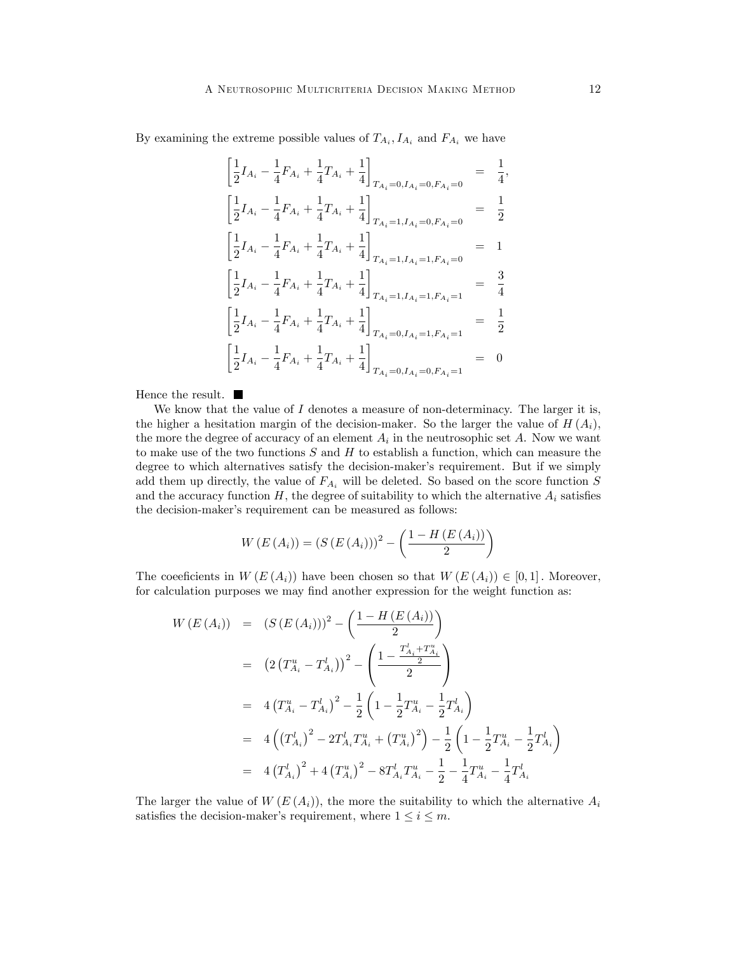By examining the extreme possible values of  $T_{A_i}, I_{A_i}$  and  $F_{A_i}$  we have

$$
\begin{aligned}\n\left[\frac{1}{2}I_{A_{i}} - \frac{1}{4}F_{A_{i}} + \frac{1}{4}T_{A_{i}} + \frac{1}{4}\right]_{T_{A_{i}}=0, I_{A_{i}}=0, F_{A_{i}}=0} &= \frac{1}{4}, \\
\left[\frac{1}{2}I_{A_{i}} - \frac{1}{4}F_{A_{i}} + \frac{1}{4}T_{A_{i}} + \frac{1}{4}\right]_{T_{A_{i}}=1, I_{A_{i}}=0, F_{A_{i}}=0} &= \frac{1}{2} \\
\left[\frac{1}{2}I_{A_{i}} - \frac{1}{4}F_{A_{i}} + \frac{1}{4}T_{A_{i}} + \frac{1}{4}\right]_{T_{A_{i}}=1, I_{A_{i}}=1, F_{A_{i}}=0} &= 1 \\
\left[\frac{1}{2}I_{A_{i}} - \frac{1}{4}F_{A_{i}} + \frac{1}{4}T_{A_{i}} + \frac{1}{4}\right]_{T_{A_{i}}=1, I_{A_{i}}=1, F_{A_{i}}=1} &= \frac{3}{4} \\
\left[\frac{1}{2}I_{A_{i}} - \frac{1}{4}F_{A_{i}} + \frac{1}{4}T_{A_{i}} + \frac{1}{4}\right]_{T_{A_{i}}=0, I_{A_{i}}=1, F_{A_{i}}=1} &= \frac{1}{2} \\
\left[\frac{1}{2}I_{A_{i}} - \frac{1}{4}F_{A_{i}} + \frac{1}{4}T_{A_{i}} + \frac{1}{4}\right]_{T_{A_{i}}=0, I_{A_{i}}=0, F_{A_{i}}=1} &= 0\n\end{aligned}
$$

Hence the result.  $\blacksquare$ 

We know that the value of  $I$  denotes a measure of non-determinacy. The larger it is, the higher a hesitation margin of the decision-maker. So the larger the value of  $H(A_i)$ , the more the degree of accuracy of an element  $A_i$  in the neutrosophic set  $A$ . Now we want to make use of the two functions  $S$  and  $H$  to establish a function, which can measure the degree to which alternatives satisfy the decision-maker's requirement. But if we simply add them up directly, the value of  $F_{A_i}$  will be deleted. So based on the score function S and the accuracy function  $H$ , the degree of suitability to which the alternative  $A_i$  satisfies the decision-maker's requirement can be measured as follows:

$$
W(E(A_i)) = (S(E(A_i)))^{2} - \left(\frac{1 - H(E(A_i))}{2}\right)
$$

The coeficients in  $W(E(A_i))$  have been chosen so that  $W(E(A_i)) \in [0,1]$ . Moreover, for calculation purposes we may find another expression for the weight function as:

$$
W(E(A_i)) = (S(E(A_i)))^2 - \left(\frac{1 - H(E(A_i))}{2}\right)
$$
  
=  $(2(T_{A_i}^u - T_{A_i}^l))^2 - \left(\frac{1 - \frac{T_{A_i}^l + T_{A_i}^u}{2}}{2}\right)$   
=  $4(T_{A_i}^u - T_{A_i}^l)^2 - \frac{1}{2}\left(1 - \frac{1}{2}T_{A_i}^u - \frac{1}{2}T_{A_i}^l\right)$   
=  $4\left((T_{A_i}^l)^2 - 2T_{A_i}^l T_{A_i}^u + (T_{A_i}^u)^2\right) - \frac{1}{2}\left(1 - \frac{1}{2}T_{A_i}^u - \frac{1}{2}T_{A_i}^l\right)$   
=  $4(T_{A_i}^l)^2 + 4(T_{A_i}^u)^2 - 8T_{A_i}^l T_{A_i}^u - \frac{1}{2} - \frac{1}{4}T_{A_i}^u - \frac{1}{4}T_{A_i}^l$ 

The larger the value of  $W(E(A_i))$ , the more the suitability to which the alternative  $A_i$ satisfies the decision-maker's requirement, where  $1 \le i \le m$ .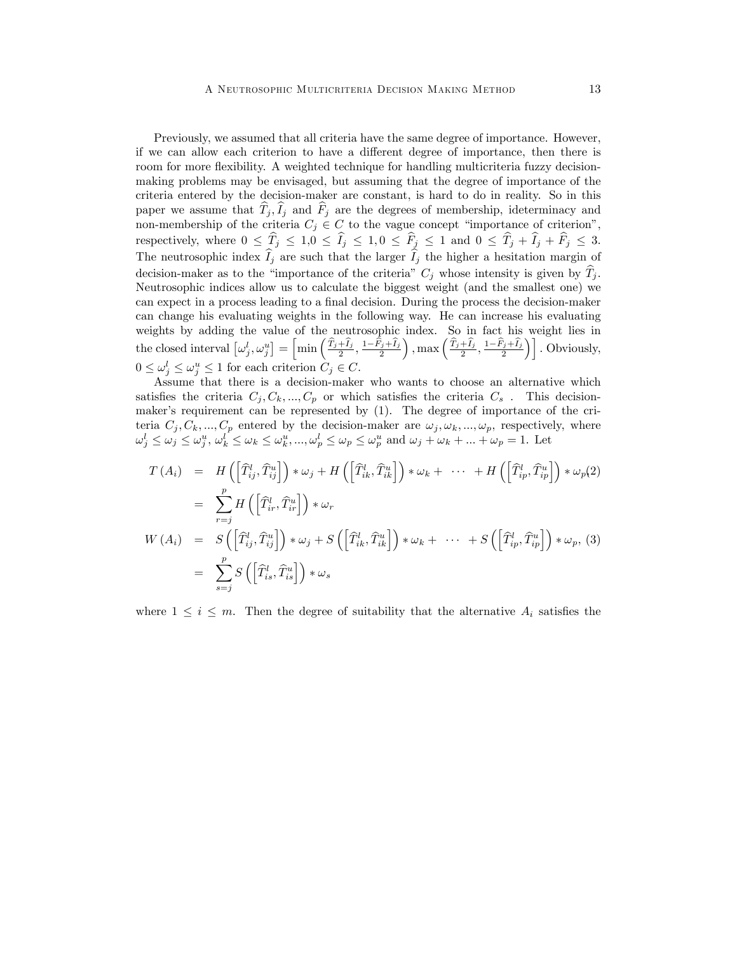Previously, we assumed that all criteria have the same degree of importance. However, if we can allow each criterion to have a different degree of importance, then there is room for more flexibility. A weighted technique for handling multicriteria fuzzy decisionmaking problems may be envisaged, but assuming that the degree of importance of the criteria entered by the decision-maker are constant, is hard to do in reality. So in this paper we assume that  $T_j$ ,  $I_j$  and  $F_j$  are the degrees of membership, ideterminacy and non-membership of the criteria  $C_j \in C$  to the vague concept "importance of criterion", respectively, where  $0 \leq \hat{T}_j \leq 1, 0 \leq \hat{I}_j \leq 1, 0 \leq \hat{F}_j \leq 1$  and  $0 \leq \hat{T}_j + \hat{I}_j + \hat{F}_j \leq 3$ . The neutrosophic index  $\hat{I}_j$  are such that the larger  $\hat{I}_j$  the higher a hesitation margin of decision-maker as to the "importance of the criteria"  $C_j$  whose intensity is given by  $\hat{T}_j$ . Neutrosophic indices allow us to calculate the biggest weight (and the smallest one) we can expect in a process leading to a final decision. During the process the decision-maker can change his evaluating weights in the following way. He can increase his evaluating weights by adding the value of the neutrosophic index. So in fact his weight lies in the closed interval  $\left[\omega_j^l,\omega_j^u\right] = \left[\min\left(\frac{\widehat{T}_j+\widehat{I}_j}{2},\frac{1-\widehat{\widehat{F}}_j+\widehat{I}_j}{2}\right)\right]$ ), max  $\left(\frac{\widehat{T}_j+\widehat{I}_j}{2},\frac{1-\widehat{F}_j+\widehat{I}_j}{2}\right)\right]$ . Obviously,  $0 \le \omega_j^l \le \omega_j^u \le 1$  for each criterion  $C_j \in C$ .

Assume that there is a decision-maker who wants to choose an alternative which satisfies the criteria  $C_j, C_k, ..., C_p$  or which satisfies the criteria  $C_s$ . This decisionmaker's requirement can be represented by (1). The degree of importance of the criteria  $C_j, C_k, ..., C_p$  entered by the decision-maker are  $\omega_j, \omega_k, ..., \omega_p$ , respectively, where  $\omega_j^l \leq \omega_j^u \leq \omega_j^u$ ,  $\omega_k^l \leq \omega_k \leq \omega_k^u$ , ...,  $\omega_p^l \leq \omega_p \leq \omega_p^u$  and  $\omega_j + \omega_k + ... + \omega_p = 1$ . Let

$$
T(A_i) = H\left(\left[\widehat{T}_{ij}^l, \widehat{T}_{ij}^u\right]\right) * \omega_j + H\left(\left[\widehat{T}_{ik}^l, \widehat{T}_{ik}^u\right]\right) * \omega_k + \cdots + H\left(\left[\widehat{T}_{ip}^l, \widehat{T}_{ip}^u\right]\right) * \omega_p(2)
$$
  
\n
$$
= \sum_{r=j}^p H\left(\left[\widehat{T}_{ir}^l, \widehat{T}_{ir}^u\right]\right) * \omega_r
$$
  
\n
$$
W(A_i) = S\left(\left[\widehat{T}_{ij}^l, \widehat{T}_{ij}^u\right]\right) * \omega_j + S\left(\left[\widehat{T}_{ik}^l, \widehat{T}_{ik}^u\right]\right) * \omega_k + \cdots + S\left(\left[\widehat{T}_{ip}^l, \widehat{T}_{ip}^u\right]\right) * \omega_p, (3)
$$
  
\n
$$
= \sum_{s=j}^p S\left(\left[\widehat{T}_{is}^l, \widehat{T}_{is}^u\right]\right) * \omega_s
$$

where  $1 \leq i \leq m$ . Then the degree of suitability that the alternative  $A_i$  satisfies the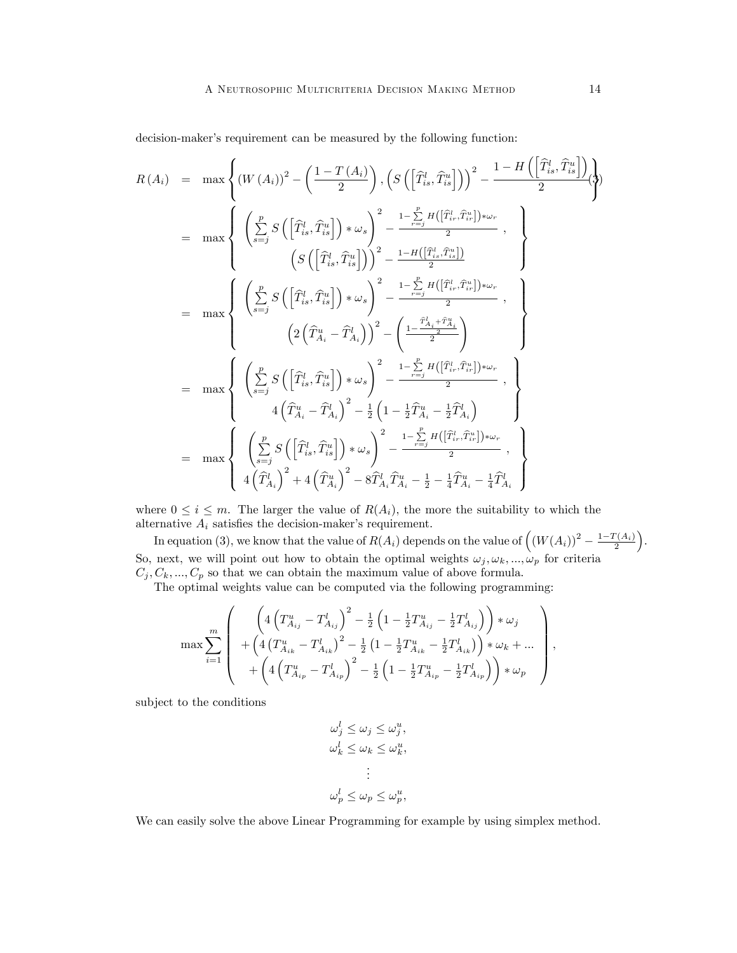decision-maker's requirement can be measured by the following function:

$$
R(A_i) = \max \left\{ (W(A_i))^2 - \left(\frac{1-T(A_i)}{2}\right), \left(S\left(\left[\widehat{T}_{is}^l, \widehat{T}_{is}^u\right]\right)\right)^2 - \frac{1-H\left(\left[\widehat{T}_{is}^l, \widehat{T}_{is}^u\right]\right)}{2} \right\}
$$
  
\n
$$
= \max \left\{ \left(\sum_{s=j}^p S\left(\left[\widehat{T}_{is}^l, \widehat{T}_{is}^u\right]\right) * \omega_s\right)^2 - \frac{1-\sum_{r=j}^p H\left(\left[\widehat{T}_{is}^l, \widehat{T}_{is}^u\right]\right) * \omega_r}{2}, \right\}
$$
  
\n
$$
= \max \left\{ \left(\sum_{s=j}^p S\left(\left[\widehat{T}_{is}^l, \widehat{T}_{is}^u\right]\right) * \omega_s\right)^2 - \frac{1-H\left(\left[\widehat{T}_{is}^l, \widehat{T}_{is}^u\right]\right)}{2}, \right\}
$$
  
\n
$$
= \max \left\{ \left(\sum_{s=j}^p S\left(\left[\widehat{T}_{is}^l, \widehat{T}_{is}^u\right]\right) * \omega_s\right)^2 - \left(\frac{1-\sum_{r=j}^p H\left(\left[\widehat{T}_{is}^l, \widehat{T}_{is}^u\right]\right) * \omega_r}{2}, \right\}
$$
  
\n
$$
= \max \left\{ \left(\sum_{s=j}^p S\left(\left[\widehat{T}_{is}^l, \widehat{T}_{is}^u\right]\right) * \omega_s\right)^2 - \frac{1-\sum_{r=j}^p H\left(\left[\widehat{T}_{is}^l, \widehat{T}_{is}^u\right]\right) * \omega_r}{2}, \right\}
$$
  
\n
$$
= \max \left\{ \left(\sum_{s=j}^p S\left(\left[\widehat{T}_{is}^l, \widehat{T}_{is}^u\right]\right) * \omega_s\right)^2 - \frac{1-\sum_{r=j}^p H\left(\left[\widehat{T}_{is}^l, \widehat{T}_{is}^u\right]\right) * \omega_r}{2}, \right\}
$$
  
\n
$$
= \max \left\{ \left(\sum_{s=j}^p S\left(\left[\widehat{T}_{is}^l, \widehat{T}_{is}^u\right]\right) * \omega_s\right)^2 - \frac{1-\
$$

where  $0 \le i \le m$ . The larger the value of  $R(A_i)$ , the more the suitability to which the alternative  $A_i$  satisfies the decision-maker's requirement.

In equation (3), we know that the value of  $R(A_i)$  depends on the value of  $((W(A_i))^2 - \frac{1-T(A_i)}{2})$  . So, next, we will point out how to obtain the optimal weights  $\omega_j, \omega_k, ..., \omega_p$  for criteria  $C_j, C_k, ..., C_p$  so that we can obtain the maximum value of above formula.

The optimal weights value can be computed via the following programming:

$$
\max \sum_{i=1}^{m} \left( \begin{array}{c} \left( 4\left( T_{A_{ij}}^{u} - T_{A_{ij}}^{l} \right)^{2} - \frac{1}{2} \left( 1 - \frac{1}{2} T_{A_{ij}}^{u} - \frac{1}{2} T_{A_{ij}}^{l} \right) \right) * \omega_{j} \\ + \left( 4\left( T_{A_{ik}}^{u} - T_{A_{ik}}^{l} \right)^{2} - \frac{1}{2} \left( 1 - \frac{1}{2} T_{A_{ik}}^{u} - \frac{1}{2} T_{A_{ik}}^{l} \right) \right) * \omega_{k} + \dots \\ + \left( 4\left( T_{A_{ip}}^{u} - T_{A_{ip}}^{l} \right)^{2} - \frac{1}{2} \left( 1 - \frac{1}{2} T_{A_{ip}}^{u} - \frac{1}{2} T_{A_{ip}}^{l} \right) \right) * \omega_{p} \end{array} \right)
$$

subject to the conditions

$$
\omega_j^l \leq \omega_j \leq \omega_j^u,
$$
  

$$
\omega_k^l \leq \omega_k \leq \omega_k^u,
$$
  

$$
\vdots
$$
  

$$
\omega_p^l \leq \omega_p \leq \omega_p^u,
$$

We can easily solve the above Linear Programming for example by using simplex method.

;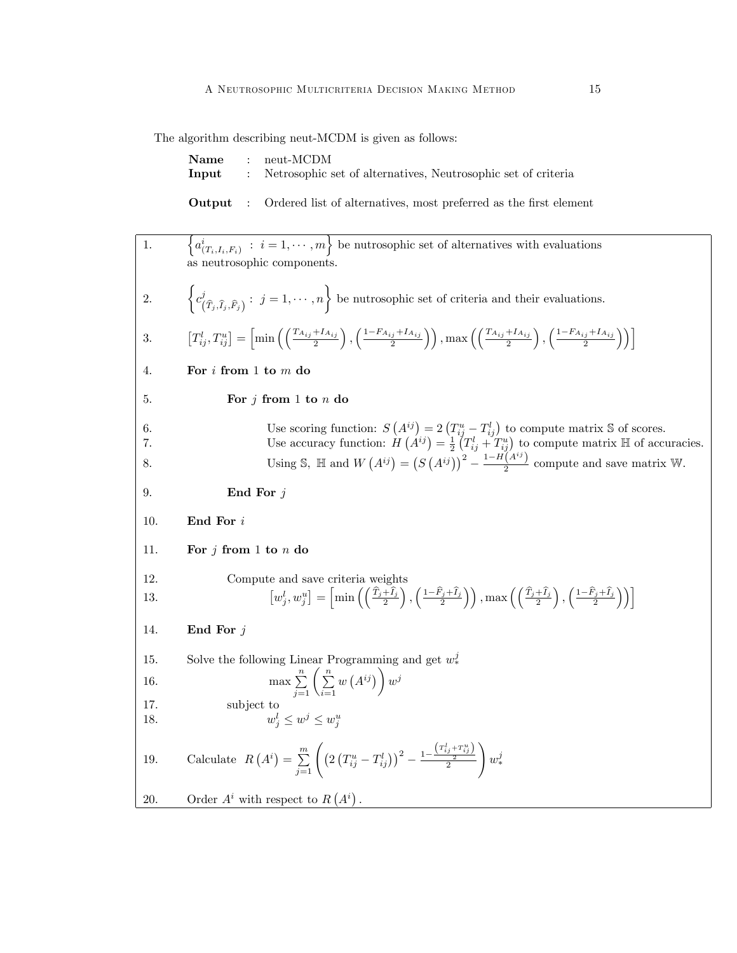The algorithm describing neut-MCDM is given as follows:

|  | $Name : neut-MCDM$                                                           |
|--|------------------------------------------------------------------------------|
|  | <b>Input</b> : Netrosophic set of alternatives, Neutrosophic set of criteria |

**Output** : Ordered list of alternatives, most preferred as the first element

1.  $\{a^i_{(T_i,I_i,F_i)} : i = 1,\cdots,m\}$  be nutrosophic set of alternatives with evaluations as neutrosophic components. 2.  $\begin{cases} c_i^j \end{cases}$  $(\widehat{T}_j, \widehat{I}_j, \widehat{F}_j) : j = 1, \cdots, n$  be nutrosophic set of criteria and their evaluations. 3.  $\left[T_{ij}^l, T_{ij}^u\right] = \left[\min\left(\left(\frac{T_{A_{ij}} + I_{A_{ij}}}{2}\right)\right)\right]$  $\left( \frac{1-F_{A_{ij}}+I_{A_{ij}}}{2} \right)$ , max  $\left( \left( \frac{T_{A_{ij}}+I_{A_{ij}}}{2} \right)$ ),  $\left(\frac{1-F_{A_{ij}}+I_{A_{ij}}}{2}\right)$  $\setminus$ 4. For i from 1 to m do 5. For  $j$  from 1 to  $n$  do 6. Use scoring function:  $S(A^{ij}) = 2(T_{ij}^u - T_{ij}^l)$  to compute matrix S of scores. 7. Use accuracy function:  $H(A^{ij}) = \frac{1}{2} (T_{ij}^l + T_{ij}^u)$  to compute matrix  $\mathbb{H}$  of accuracies. 8. Using S,  $\mathbb{H}$  and  $W(A^{ij}) = (S(A^{ij}))^2$  –  $1-H(A^{ij})$  $\frac{1}{2}$  compute and save matrix W. 9. End For j 10.  $\qquad \qquad$  End For  $i$ 11. For  $j$  from 1 to  $n$  do 12. Compute and save criteria weights 13.  $\left[w_j^l, w_j^u\right] = \left[\min\left(\left(\frac{\hat{T}_j + \hat{I}_j}{2}\right)\right)\right]$  $\left( \frac{1-\widehat{F}_{j}+\widehat{I}_{j}}{2}\right) \right)$ , max  $\left( \left( \frac{\widehat{T}_{j}+\widehat{I}_{j}}{2}\right) \right)$  $\left( \frac{1-\widehat{F}_{j}+\widehat{I}_{j}}{2}\right)$  $\frac{1}{2}$ 14. End For  $j$ 15. Solve the following Linear Programming and get  $w_*^j$ \* 16.  $\max \sum_{j=1}^{n} \left( \sum_{i=1}^{n} \right)$  $w(A^{ij})$  $w^j$ 17. subject to 18. w  $j \leq w^j \leq w^u_j$ 19. Calculate  $R(A^i) = \sum_{j=1}^{m}$  $\left(2\left(T_{ij}^u-T_{ij}^l\right)\right)^2-\frac{1-\frac{\left(T_{ij}^l+T_{ij}^u\right)}{2}}{2}$ !  $w_*^j$  $*$ 20. Order  $A^i$  with respect to  $R(A^i)$ .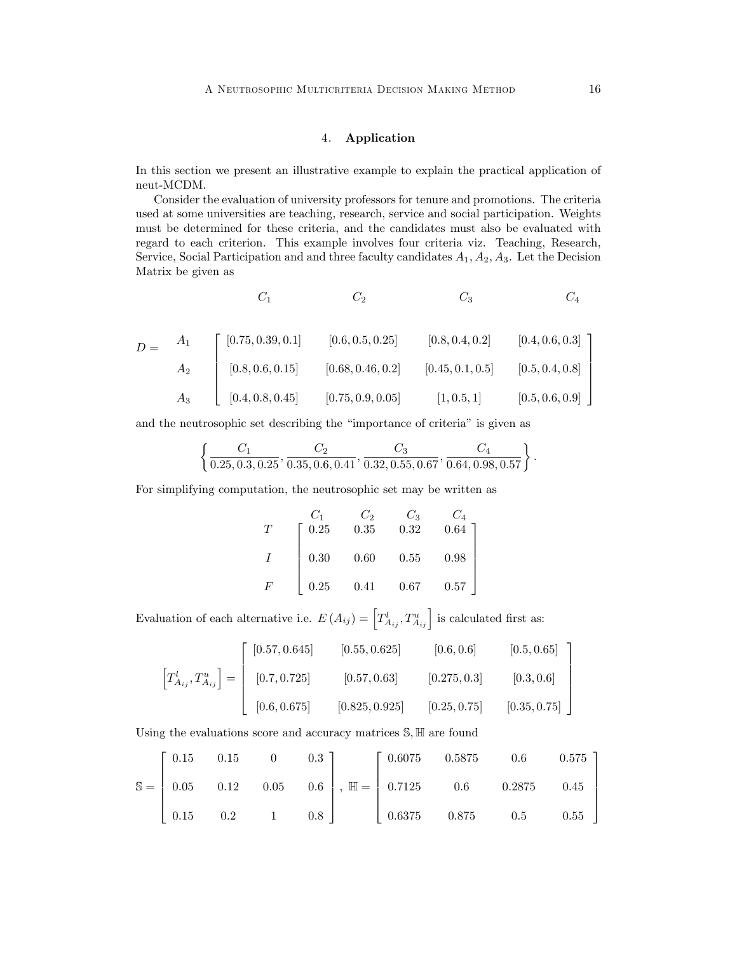## 4. Application

In this section we present an illustrative example to explain the practical application of neut-MCDM.

Consider the evaluation of university professors for tenure and promotions. The criteria used at some universities are teaching, research, service and social participation. Weights must be determined for these criteria, and the candidates must also be evaluated with regard to each criterion. This example involves four criteria viz. Teaching, Research, Service, Social Participation and and three faculty candidates  $A_1, A_2, A_3$ . Let the Decision Matrix be given as

$$
C_1 \hspace{1.5cm} C_2 \hspace{1.5cm} C_3 \hspace{1.5cm} C_4
$$

$$
D = \begin{bmatrix} A_1 \\ A_2 \\ A_3 \end{bmatrix} \begin{bmatrix} [0.75, 0.39, 0.1] & [0.6, 0.5, 0.25] & [0.8, 0.4, 0.2] & [0.4, 0.6, 0.3] \\ [0.8, 0.6, 0.15] & [0.68, 0.46, 0.2] & [0.45, 0.1, 0.5] & [0.5, 0.4, 0.8] \\ [0.4, 0.8, 0.45] & [0.75, 0.9, 0.05] & [1, 0.5, 1] & [0.5, 0.6, 0.9] \end{bmatrix}
$$

and the neutrosophic set describing the "importance of criteria" is given as

$$
\left\{\frac{C_1}{0.25, 0.3, 0.25}, \frac{C_2}{0.35, 0.6, 0.41}, \frac{C_3}{0.32, 0.55, 0.67}, \frac{C_4}{0.64, 0.98, 0.57}\right\}
$$

For simplifying computation, the neutrosophic set may be written as

$$
\begin{array}{ccccc}\nT & C_1 & C_2 & C_3 & C_4 \\
T & 0.25 & 0.35 & 0.32 & 0.64 \\
I & 0.30 & 0.60 & 0.55 & 0.98 \\
F & 0.25 & 0.41 & 0.67 & 0.57\n\end{array}
$$

Evaluation of each alternative i.e.  $E(A_{ij}) = \left[ T_{A_{ij}}^{l}, T_{A_{ij}}^{u} \right]$  is calculated first as:

$$
\begin{bmatrix} T_{A_{ij}}^l, T_{A_{ij}}^u \end{bmatrix} = \begin{bmatrix} [0.57, 0.645] & [0.55, 0.625] & [0.6, 0.6] & [0.5, 0.65] \\ [0.7, 0.725] & [0.57, 0.63] & [0.275, 0.3] & [0.3, 0.6] \\ [0.6, 0.675] & [0.825, 0.925] & [0.25, 0.75] & [0.35, 0.75] \end{bmatrix}
$$

Using the evaluations score and accuracy matrices  $\mathbb{S}, \mathbb{H}$  are found

|  | $\begin{bmatrix} 0.15 & 0.15 & 0 & 0.3 \end{bmatrix}$ |  |  | $\begin{bmatrix} 0.6075 & 0.5875 & 0.6 & 0.575 \end{bmatrix}$                                                                                    |  |
|--|-------------------------------------------------------|--|--|--------------------------------------------------------------------------------------------------------------------------------------------------|--|
|  |                                                       |  |  | $\mathbb{S} = \begin{bmatrix} 0.05 & 0.12 & 0.05 & 0.6 \end{bmatrix}, \ \mathbb{H} = \begin{bmatrix} 0.7125 & 0.6 & 0.2875 & 0.45 \end{bmatrix}$ |  |
|  |                                                       |  |  |                                                                                                                                                  |  |

: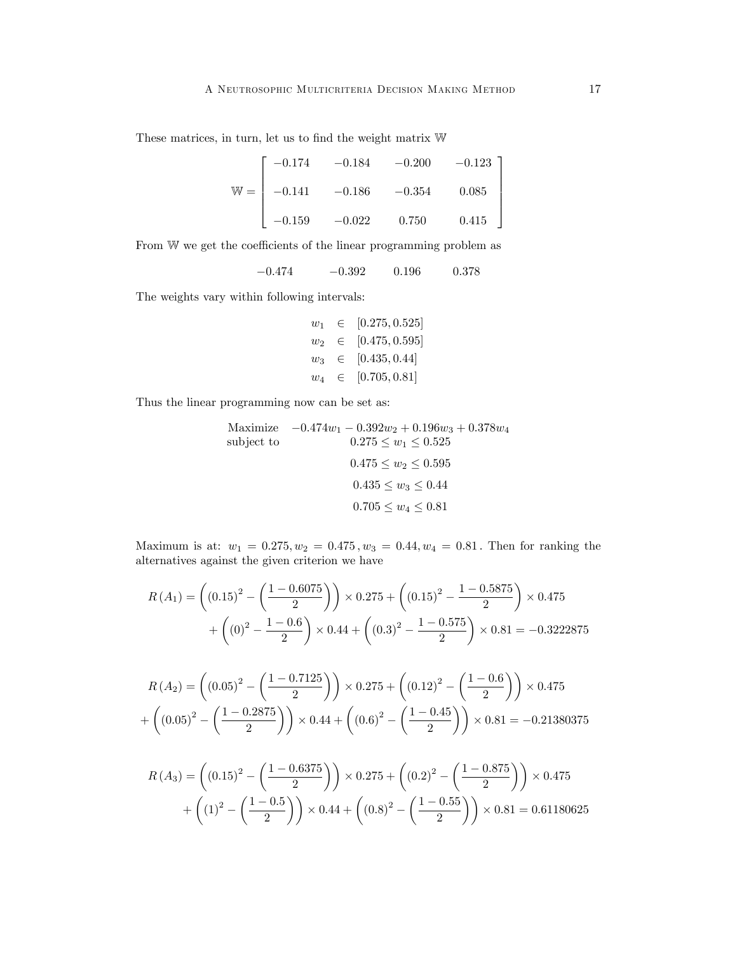These matrices, in turn, let us to find the weight matrix  $\mathbb W$ 

$$
\mathbb{W} = \begin{bmatrix} -0.174 & -0.184 & -0.200 & -0.123 \\ -0.141 & -0.186 & -0.354 & 0.085 \\ -0.159 & -0.022 & 0.750 & 0.415 \end{bmatrix}
$$

From W we get the coefficients of the linear programming problem as

 $-0.474 \qquad \quad -0.392 \qquad \quad 0.196 \qquad \quad 0.378$ 

The weights vary within following intervals:

$$
w_1 \in [0.275, 0.525]
$$
  
\n
$$
w_2 \in [0.475, 0.595]
$$
  
\n
$$
w_3 \in [0.435, 0.44]
$$
  
\n
$$
w_4 \in [0.705, 0.81]
$$

Thus the linear programming now can be set as:

Maximize 
$$
-0.474w_1 - 0.392w_2 + 0.196w_3 + 0.378w_4
$$
  
\nsubject to  
\n $0.275 \le w_1 \le 0.525$   
\n $0.475 \le w_2 \le 0.595$   
\n $0.435 \le w_3 \le 0.44$   
\n $0.705 \le w_4 \le 0.81$ 

Maximum is at:  $w_1 = 0.275, w_2 = 0.475, w_3 = 0.44, w_4 = 0.81$ . Then for ranking the alternatives against the given criterion we have

$$
R(A_1) = \left( (0.15)^2 - \left( \frac{1 - 0.6075}{2} \right) \right) \times 0.275 + \left( (0.15)^2 - \frac{1 - 0.5875}{2} \right) \times 0.475 + \left( (0)^2 - \frac{1 - 0.6}{2} \right) \times 0.44 + \left( (0.3)^2 - \frac{1 - 0.575}{2} \right) \times 0.81 = -0.3222875
$$

$$
R(A_2) = \left( (0.05)^2 - \left( \frac{1 - 0.7125}{2} \right) \right) \times 0.275 + \left( (0.12)^2 - \left( \frac{1 - 0.6}{2} \right) \right) \times 0.475
$$

$$
+ \left( (0.05)^2 - \left( \frac{1 - 0.2875}{2} \right) \right) \times 0.44 + \left( (0.6)^2 - \left( \frac{1 - 0.45}{2} \right) \right) \times 0.81 = -0.21380375
$$

$$
R(A_3) = \left( (0.15)^2 - \left( \frac{1 - 0.6375}{2} \right) \right) \times 0.275 + \left( (0.2)^2 - \left( \frac{1 - 0.875}{2} \right) \right) \times 0.475
$$

$$
+ \left( (1)^2 - \left( \frac{1 - 0.5}{2} \right) \right) \times 0.44 + \left( (0.8)^2 - \left( \frac{1 - 0.55}{2} \right) \right) \times 0.81 = 0.61180625
$$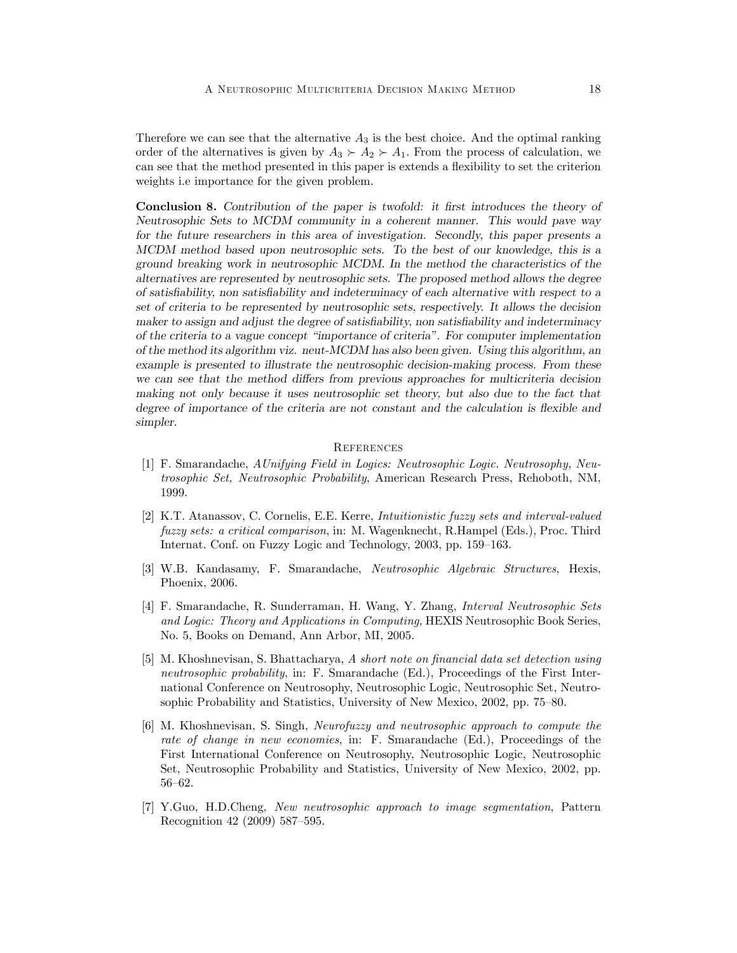Therefore we can see that the alternative  $A_3$  is the best choice. And the optimal ranking order of the alternatives is given by  $A_3 \succ A_2 \succ A_1$ . From the process of calculation, we can see that the method presented in this paper is extends a flexibility to set the criterion weights i.e importance for the given problem.

Conclusion 8. Contribution of the paper is twofold: it first introduces the theory of Neutrosophic Sets to MCDM community in a coherent manner. This would pave way for the future researchers in this area of investigation. Secondly, this paper presents a MCDM method based upon neutrosophic sets. To the best of our knowledge, this is a ground breaking work in neutrosophic MCDM. In the method the characteristics of the alternatives are represented by neutrosophic sets. The proposed method allows the degree of satisÖability, non satisÖability and indeterminacy of each alternative with respect to a set of criteria to be represented by neutrosophic sets, respectively. It allows the decision maker to assign and adjust the degree of satisfiability, non satisfiability and indeterminacy of the criteria to a vague concept "importance of criteria". For computer implementation of the method its algorithm viz. neut-MCDM has also been given. Using this algorithm, an example is presented to illustrate the neutrosophic decision-making process. From these we can see that the method differs from previous approaches for multicriteria decision making not only because it uses neutrosophic set theory, but also due to the fact that degree of importance of the criteria are not constant and the calculation is flexible and simpler.

### **REFERENCES**

- [1] F. Smarandache, AUnifying Field in Logics: Neutrosophic Logic. Neutrosophy, Neutrosophic Set, Neutrosophic Probability, American Research Press, Rehoboth, NM, 1999.
- [2] K.T. Atanassov, C. Cornelis, E.E. Kerre, Intuitionistic fuzzy sets and interval-valued fuzzy sets: a critical comparison, in: M. Wagenknecht, R.Hampel (Eds.), Proc. Third Internat. Conf. on Fuzzy Logic and Technology, 2003, pp. 159–163.
- [3] W.B. Kandasamy, F. Smarandache, Neutrosophic Algebraic Structures, Hexis, Phoenix, 2006.
- [4] F. Smarandache, R. Sunderraman, H. Wang, Y. Zhang, Interval Neutrosophic Sets and Logic: Theory and Applications in Computing, HEXIS Neutrosophic Book Series, No. 5, Books on Demand, Ann Arbor, MI, 2005.
- [5] M. Khoshnevisan, S. Bhattacharya, A short note on financial data set detection using neutrosophic probability, in: F. Smarandache (Ed.), Proceedings of the First International Conference on Neutrosophy, Neutrosophic Logic, Neutrosophic Set, Neutrosophic Probability and Statistics, University of New Mexico, 2002, pp. 75–80.
- [6] M. Khoshnevisan, S. Singh, Neurofuzzy and neutrosophic approach to compute the rate of change in new economies, in: F. Smarandache (Ed.), Proceedings of the First International Conference on Neutrosophy, Neutrosophic Logic, Neutrosophic Set, Neutrosophic Probability and Statistics, University of New Mexico, 2002, pp.  $56 - 62.$
- [7] Y.Guo, H.D.Cheng, New neutrosophic approach to image segmentation, Pattern Recognition 42 (2009) 587-595.